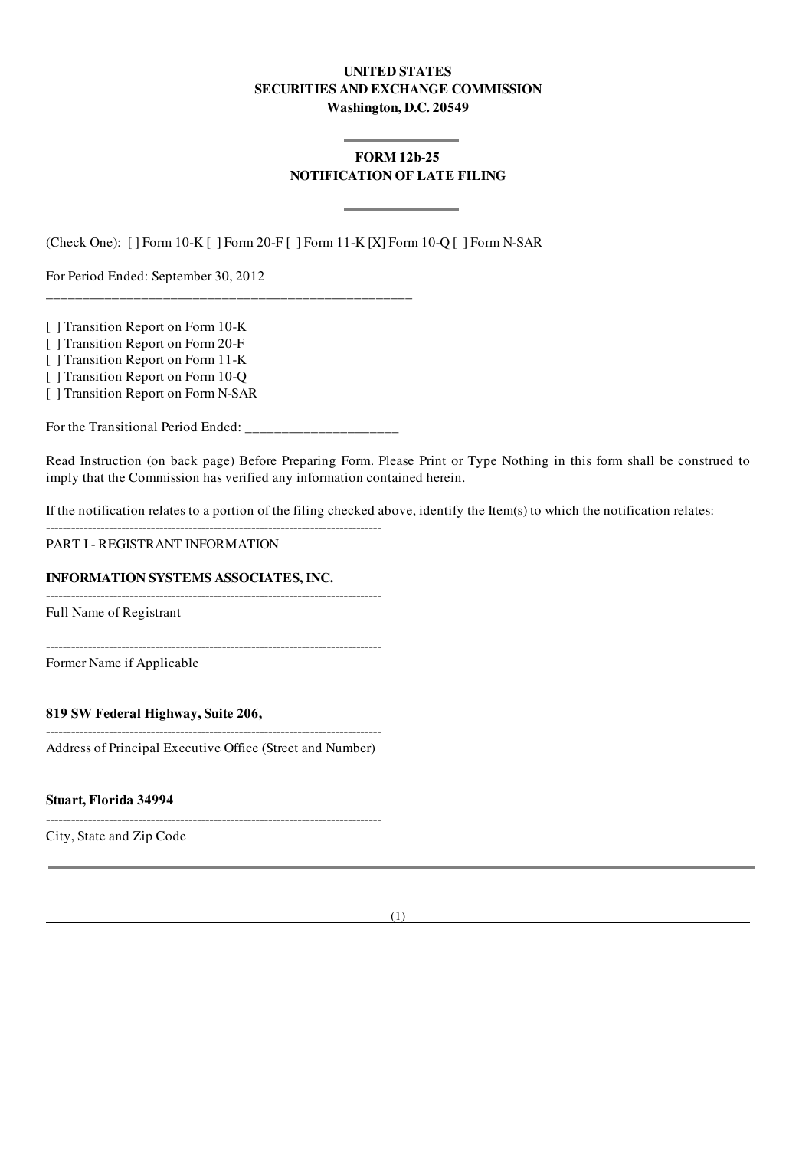### UNITED STATES SECURITIES AND EXCHANGE COMMISSION Washington, D.C. 20549

# FORM 12b-25 NOTIFICATION OF LATE FILING

(Check One): [ ] Form 10-K [ ] Form 20-F [ ] Form 11-K [X] Form 10-Q [ ] Form N-SAR

For Period Ended: September 30, 2012

[ ] Transition Report on Form 10-K

[ ] Transition Report on Form 20-F

[ ] Transition Report on Form 11-K

[ ] Transition Report on Form 10-Q

[ ] Transition Report on Form N-SAR

For the Transitional Period Ended: \_\_\_\_\_\_\_\_\_\_\_\_\_\_\_\_\_\_\_\_\_

\_\_\_\_\_\_\_\_\_\_\_\_\_\_\_\_\_\_\_\_\_\_\_\_\_\_\_\_\_\_\_\_\_\_\_\_\_\_\_\_\_\_\_\_\_\_\_\_\_\_

Read Instruction (on back page) Before Preparing Form. Please Print or Type Nothing in this form shall be construed to imply that the Commission has verified any information contained herein.

If the notification relates to a portion of the filing checked above, identify the Item(s) to which the notification relates:

PART I - REGISTRANT INFORMATION

#### INFORMATION SYSTEMS ASSOCIATES, INC.

Full Name of Registrant

--------------------------------------------------------------------------------

--------------------------------------------------------------------------------

 $-$ 

Former Name if Applicable

#### 819 SW Federal Highway, Suite 206,

-------------------------------------------------------------------------------- Address of Principal Executive Office (Street and Number)

--------------------------------------------------------------------------------

Stuart, Florida 34994

City, State and Zip Code

(1)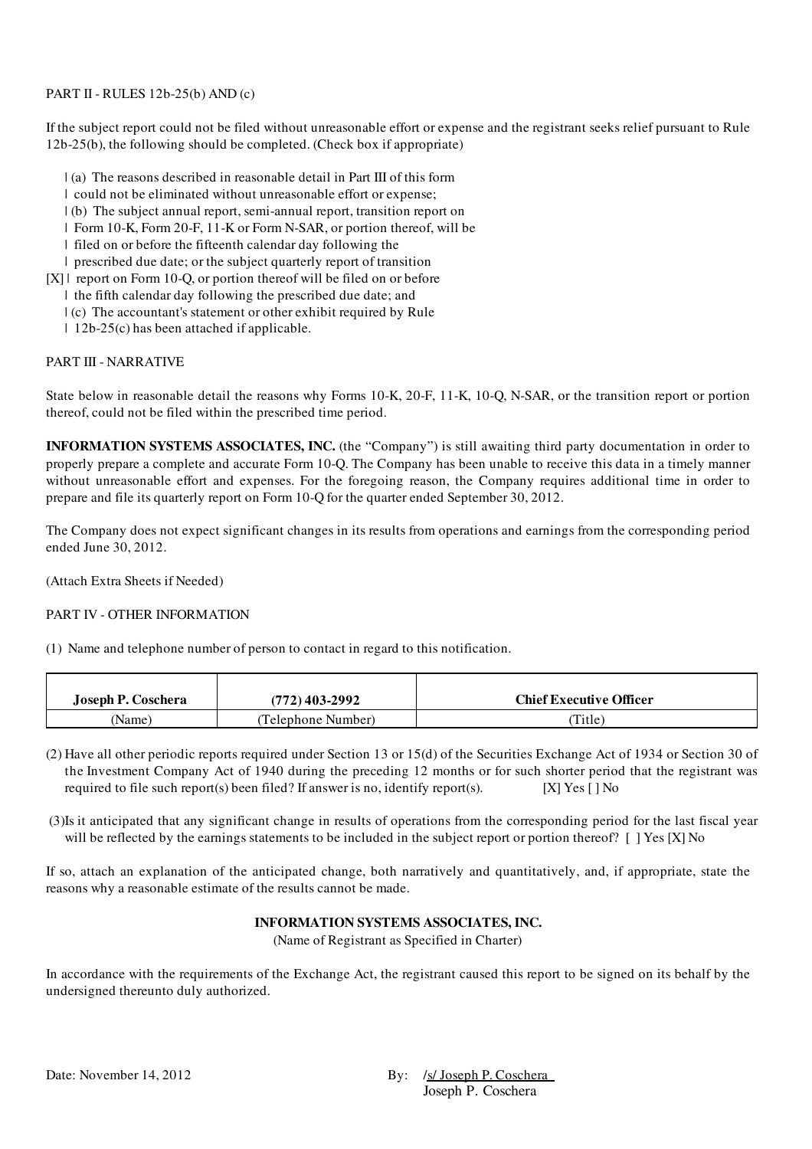## PART II - RULES 12b-25(b) AND (c)

If the subject report could not be filed without unreasonable effort or expense and the registrant seeks relief pursuant to Rule 12b-25(b), the following should be completed. (Check box if appropriate)

- | (a) The reasons described in reasonable detail in Part III of this form
- | could not be eliminated without unreasonable effort or expense;
- | (b) The subject annual report, semi-annual report, transition report on
- | Form 10-K, Form 20-F, 11-K or Form N-SAR, or portion thereof, will be
- | filed on or before the fifteenth calendar day following the
- | prescribed due date; or the subject quarterly report of transition
- [X] report on Form 10-O, or portion thereof will be filed on or before
	- | the fifth calendar day following the prescribed due date; and
	- | (c) The accountant's statement or other exhibit required by Rule
	- | 12b-25(c) has been attached if applicable.

## PART III - NARRATIVE

State below in reasonable detail the reasons why Forms 10-K, 20-F, 11-K, 10-Q, N-SAR, or the transition report or portion thereof, could not be filed within the prescribed time period.

INFORMATION SYSTEMS ASSOCIATES, INC. (the "Company") is still awaiting third party documentation in order to properly prepare a complete and accurate Form 10-Q. The Company has been unable to receive this data in a timely manner without unreasonable effort and expenses. For the foregoing reason, the Company requires additional time in order to prepare and file its quarterly report on Form 10-Q for the quarter ended September 30, 2012.

The Company does not expect significant changes in its results from operations and earnings from the corresponding period ended June 30, 2012.

(Attach Extra Sheets if Needed)

## PART IV - OTHER INFORMATION

(1) Name and telephone number of person to contact in regard to this notification.

| Joseph P. Coschera | (772) 403-2992     | <b>Chief Executive Officer</b> |
|--------------------|--------------------|--------------------------------|
| (Name)             | (Telephone Number) | Title)                         |

- (2) Have all other periodic reports required under Section 13 or 15(d) of the Securities Exchange Act of 1934 or Section 30 of the Investment Company Act of 1940 during the preceding 12 months or for such shorter period that the registrant was required to file such report(s) been filed? If answer is no, identify report(s). [X] Yes  $\lceil \cdot \rceil$  No
- (3)Is it anticipated that any significant change in results of operations from the corresponding period for the last fiscal year will be reflected by the earnings statements to be included in the subject report or portion thereof? [ ] Yes [X] No

If so, attach an explanation of the anticipated change, both narratively and quantitatively, and, if appropriate, state the reasons why a reasonable estimate of the results cannot be made.

# INFORMATION SYSTEMS ASSOCIATES, INC.

(Name of Registrant as Specified in Charter)

In accordance with the requirements of the Exchange Act, the registrant caused this report to be signed on its behalf by the undersigned thereunto duly authorized.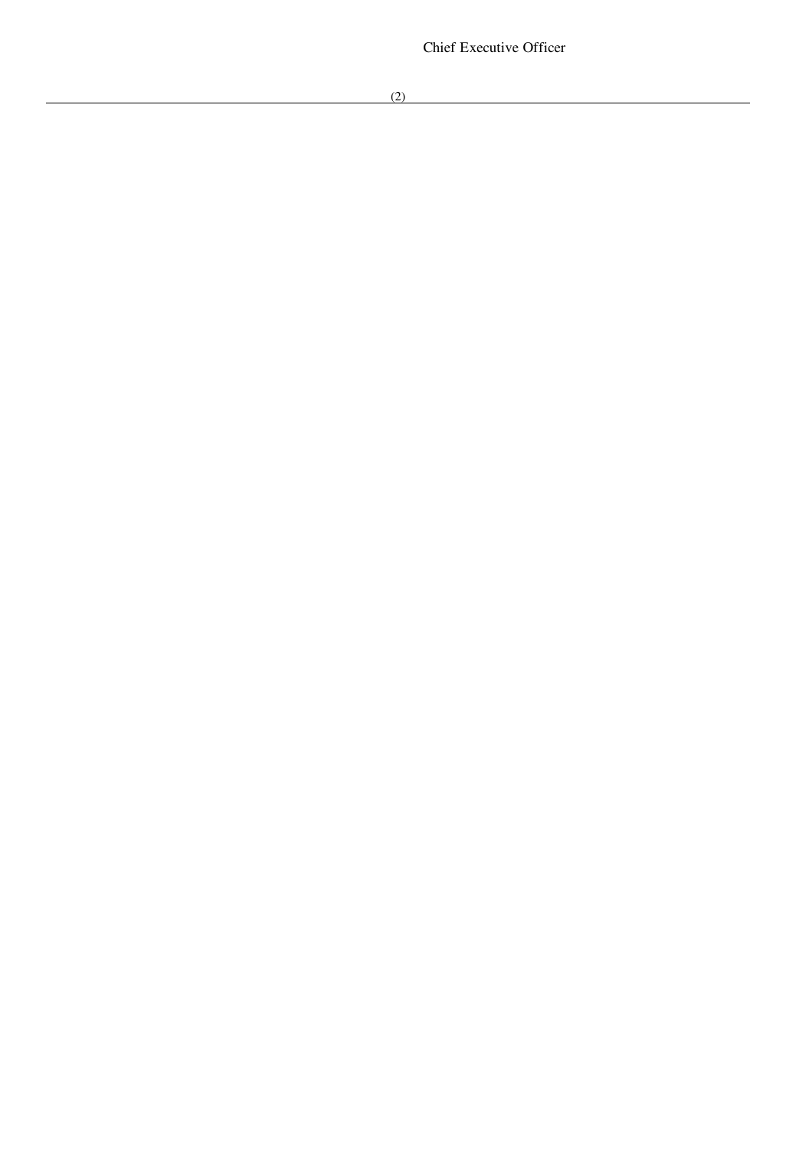Chief Executive Officer